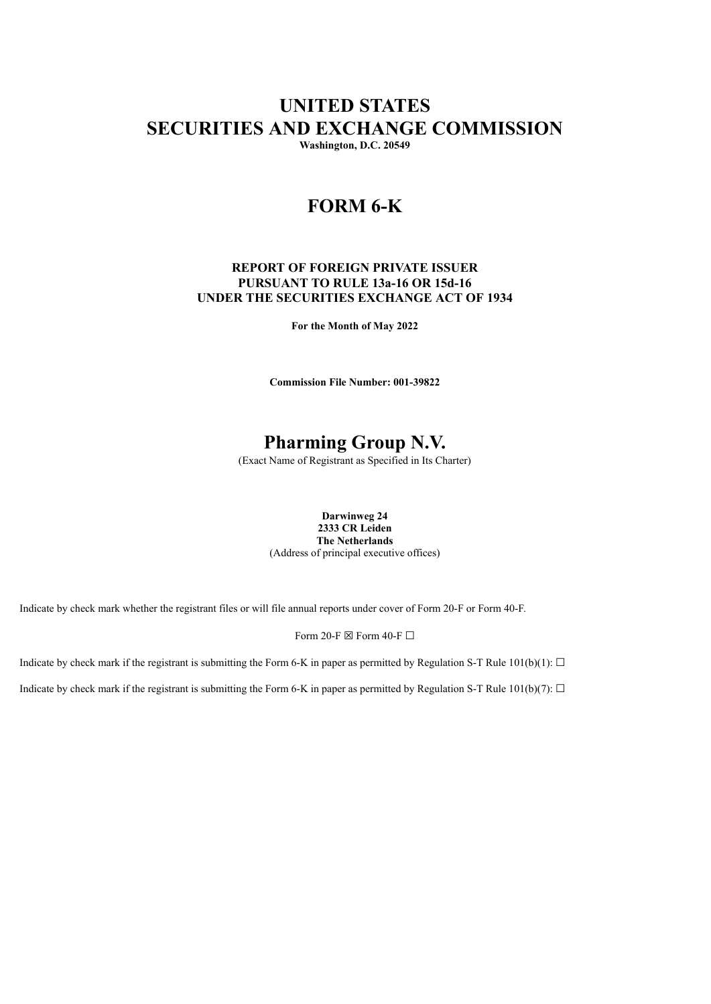# **UNITED STATES SECURITIES AND EXCHANGE COMMISSION**

**Washington, D.C. 20549**

## **FORM 6-K**

### **REPORT OF FOREIGN PRIVATE ISSUER PURSUANT TO RULE 13a-16 OR 15d-16 UNDER THE SECURITIES EXCHANGE ACT OF 1934**

**For the Month of May 2022**

**Commission File Number: 001-39822**

## **Pharming Group N.V.**

(Exact Name of Registrant as Specified in Its Charter)

**Darwinweg 24 2333 CR Leiden The Netherlands** (Address of principal executive offices)

Indicate by check mark whether the registrant files or will file annual reports under cover of Form 20-F or Form 40-F.

Form 20-F  $\boxtimes$  Form 40-F  $\Box$ 

Indicate by check mark if the registrant is submitting the Form 6-K in paper as permitted by Regulation S-T Rule  $101(b)(1)$ :  $\Box$ 

Indicate by check mark if the registrant is submitting the Form 6-K in paper as permitted by Regulation S-T Rule 101(b)(7):  $\Box$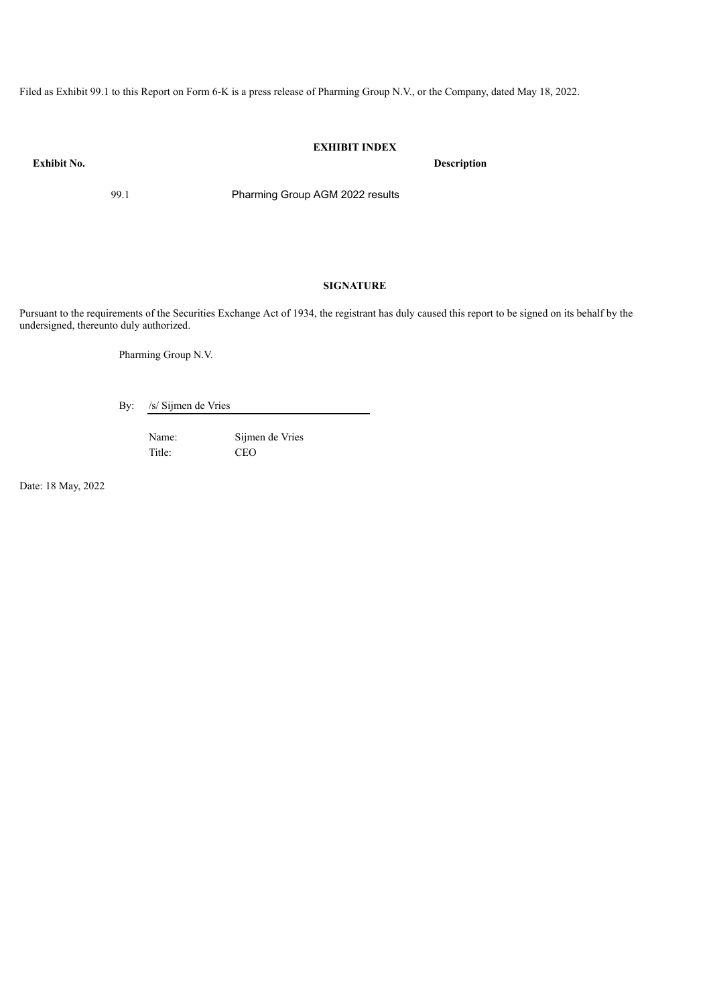Filed as Exhibit 99.1 to this Report on Form 6-K is a press release of Pharming Group N.V., or the Company, dated May 18, 2022.

### **EXHIBIT INDEX**

**Exhibit No. Description**

99.1 Pharming Group AGM 2022 results

### **SIGNATURE**

Pursuant to the requirements of the Securities Exchange Act of 1934, the registrant has duly caused this report to be signed on its behalf by the undersigned, thereunto duly authorized.

Pharming Group N.V.

By: /s/ Sijmen de Vries

Name: Sijmen de Vries Title: CEO

Date: 18 May, 2022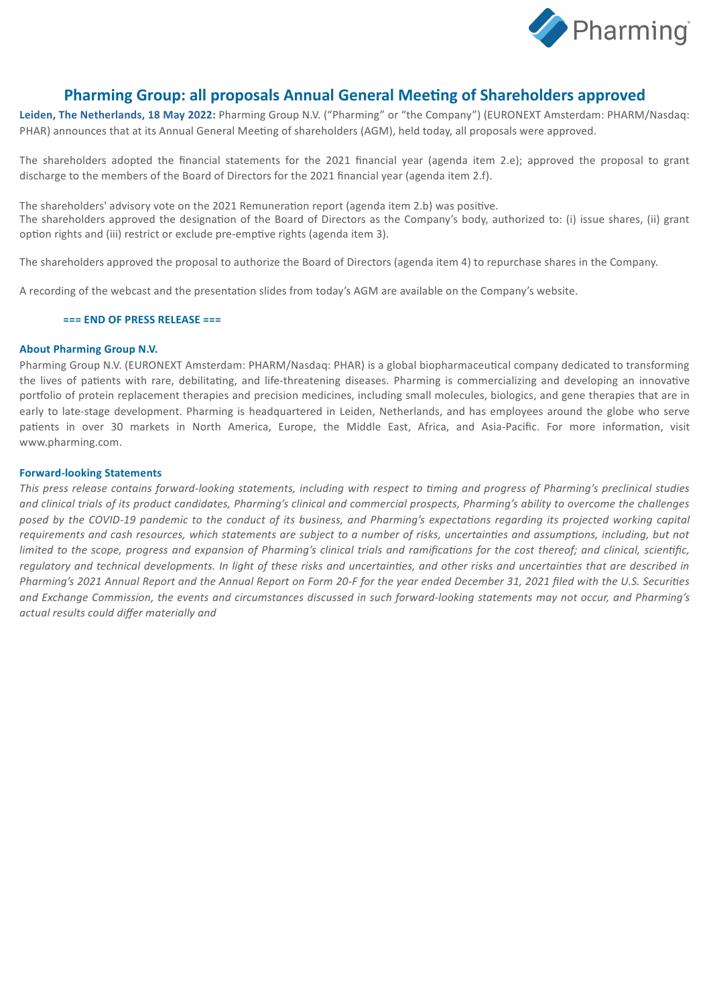

### **Pharming Group: all proposals Annual General Meeting of Shareholders approved**

**Leiden, The Netherlands, 18 May 2022:** Pharming Group N.V. ("Pharming" or "the Company") (EURONEXT Amsterdam: PHARM/Nasdaq: PHAR) announces that at its Annual General Meeting of shareholders (AGM), held today, all proposals were approved.

The shareholders adopted the financial statements for the 2021 financial year (agenda item 2.e); approved the proposal to grant discharge to the members of the Board of Directors for the 2021 financial year (agenda item 2.f).

The shareholders' advisory vote on the 2021 Remuneration report (agenda item 2.b) was positive. The shareholders approved the designation of the Board of Directors as the Company's body, authorized to: (i) issue shares, (ii) grant option rights and (iii) restrict or exclude pre-emptive rights (agenda item 3).

The shareholders approved the proposal to authorize the Board of Directors (agenda item 4) to repurchase shares in the Company.

A recording of the webcast and the presentation slides from today's AGM are available on the Company's website.

### **=== END OF PRESS RELEASE ===**

### **About Pharming Group N.V.**

Pharming Group N.V. (EURONEXT Amsterdam: PHARM/Nasdaq: PHAR) is a global biopharmaceutical company dedicated to transforming the lives of patients with rare, debilitating, and life-threatening diseases. Pharming is commercializing and developing an innovative portfolio of protein replacement therapies and precision medicines, including small molecules, biologics, and gene therapies that are in early to late-stage development. Pharming is headquartered in Leiden, Netherlands, and has employees around the globe who serve patients in over 30 markets in North America, Europe, the Middle East, Africa, and Asia-Pacific. For more information, visit www.pharming.com.

### **Forward-looking Statements**

This press release contains forward-looking statements, including with respect to timing and progress of Pharming's preclinical studies and clinical trials of its product candidates, Pharming's clinical and commercial prospects, Pharming's ability to overcome the challenges posed by the COVID-19 pandemic to the conduct of its business, and Pharming's expectations regarding its projected working capital requirements and cash resources, which statements are subject to a number of risks, uncertainties and assumptions, including, but not limited to the scope, progress and expansion of Pharming's clinical trials and ramifications for the cost thereof; and clinical, scientific, regulatory and technical developments. In light of these risks and uncertainties, and other risks and uncertainties that are described in Pharming's 2021 Annual Report and the Annual Report on Form 20-F for the year ended December 31, 2021 filed with the U.S. Securities and Exchange Commission, the events and circumstances discussed in such forward-looking statements may not occur, and Pharming's *actual results could differ materially and*